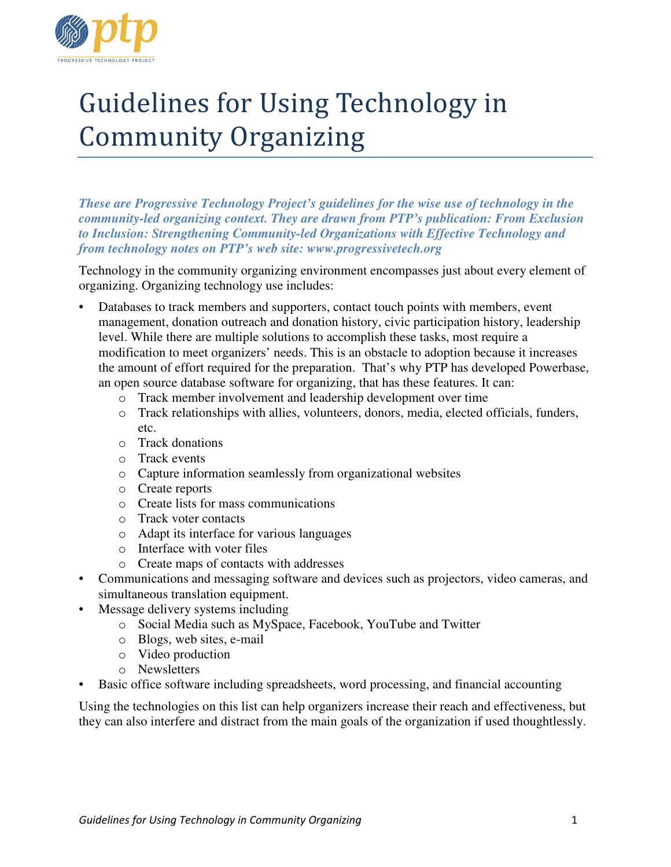

# Guidelines for Using Technology in Community Organizing

*These are Progressive Technology Project's guidelines for the wise use of technology in the community-led organizing context. They are drawn from PTP's publication: From Exclusion to Inclusion: Strengthening Community-led Organizations with Effective Technology and from technology notes on PTP's web site: www.progressivetech.org* 

Technology in the community organizing environment encompasses just about every element of organizing. Organizing technology use includes:

- Databases to track members and supporters, contact touch points with members, event management, donation outreach and donation history, civic participation history, leadership level. While there are multiple solutions to accomplish these tasks, most require a modification to meet organizers' needs. This is an obstacle to adoption because it increases the amount of effort required for the preparation. That's why PTP has developed Powerbase, an open source database software for organizing, that has these features. It can:
	- o Track member involvement and leadership development over time
	- o Track relationships with allies, volunteers, donors, media, elected officials, funders, etc.
	- o Track donations
	- o Track events
	- o Capture information seamlessly from organizational websites
	- o Create reports
	- o Create lists for mass communications
	- o Track voter contacts
	- o Adapt its interface for various languages
	- o Interface with voter files
	- o Create maps of contacts with addresses
- Communications and messaging software and devices such as projectors, video cameras, and simultaneous translation equipment.
- Message delivery systems including
	- o Social Media such as MySpace, Facebook, YouTube and Twitter
	- o Blogs, web sites, e-mail
	- o Video production
	- o Newsletters
- Basic office software including spreadsheets, word processing, and financial accounting

Using the technologies on this list can help organizers increase their reach and effectiveness, but they can also interfere and distract from the main goals of the organization if used thoughtlessly.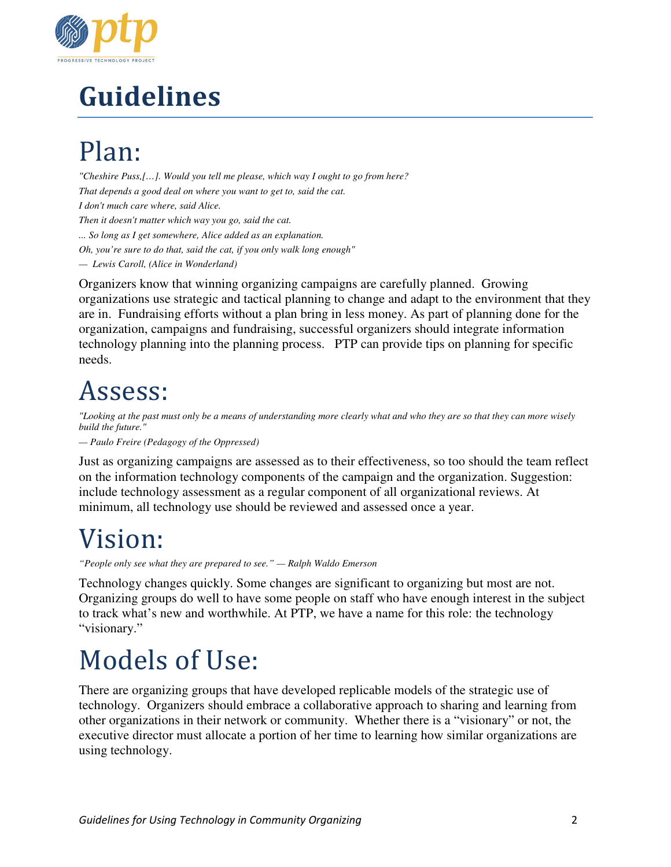

# Guidelines

# Plan:

*"Cheshire Puss,[…]. Would you tell me please, which way I ought to go from here? That depends a good deal on where you want to get to, said the cat. I don't much care where, said Alice. Then it doesn't matter which way you go, said the cat. ... So long as I get somewhere, Alice added as an explanation. Oh, you're sure to do that, said the cat, if you only walk long enough" — Lewis Caroll, (Alice in Wonderland)* 

Organizers know that winning organizing campaigns are carefully planned. Growing organizations use strategic and tactical planning to change and adapt to the environment that they are in. Fundraising efforts without a plan bring in less money. As part of planning done for the organization, campaigns and fundraising, successful organizers should integrate information technology planning into the planning process. PTP can provide tips on planning for specific needs.

## Assess:

*"Looking at the past must only be a means of understanding more clearly what and who they are so that they can more wisely build the future."* 

*— Paulo Freire (Pedagogy of the Oppressed)* 

Just as organizing campaigns are assessed as to their effectiveness, so too should the team reflect on the information technology components of the campaign and the organization. Suggestion: include technology assessment as a regular component of all organizational reviews. At minimum, all technology use should be reviewed and assessed once a year.

#### Vision:

*"People only see what they are prepared to see." — Ralph Waldo Emerson* 

Technology changes quickly. Some changes are significant to organizing but most are not. Organizing groups do well to have some people on staff who have enough interest in the subject to track what's new and worthwhile. At PTP, we have a name for this role: the technology "visionary."

#### Models of Use:

There are organizing groups that have developed replicable models of the strategic use of technology. Organizers should embrace a collaborative approach to sharing and learning from other organizations in their network or community. Whether there is a "visionary" or not, the executive director must allocate a portion of her time to learning how similar organizations are using technology.